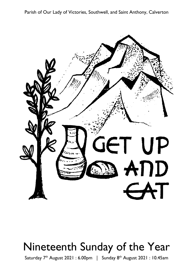Parish of Our Lady of Victories, Southwell, and Saint Anthony, Calverton



# Nineteenth Sunday of the Year

Saturday 7<sup>th</sup> August 2021: 6.00pm | Sunday 8<sup>th</sup> August 2021: 10.45am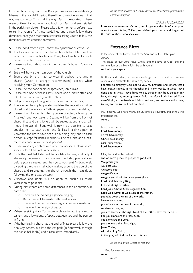In order to comply with the Bishop's guidelines on celebrating Masses in the covid-19 period there'll be some differences in that way we come to Mass and the way Mass is celebrated. These were outlined to you when you book for Mass, and are detailed in the parish newsletter. Please take a few moments before Mass to remind yourself of these guidelines, and please follow these directions, recognise that those stewards asking you to follow the directions are volunteers themselves:

- **※** Please don't attend if you show any symptoms of covid-19;
- $\overline{∗}$  Try to arrive no earlier than half an hour before Mass, and no later than ten minutes before Mass, to allow time for each person to enter one-by-one;
- **※** Please wait outside church if the narthex (lobby) isn't empty to enter:
- $\Phi$  Entry will be via the main door of the church;
- **※** Ensure you bring a mask to wear throughout the time in church (which is strongly recommended) except when receiving Holy Communion;
- $\Phi$  Please use the hand-sanitiser (provided) on arrival;
- $\overline{∗}$  Please take one of these Mass Sheets, and a Newsletter, and take them home with you after Mass;
- $\Phi$  Put your weekly offering into the basket in the narthex;
- There won't be any holy water available, the repository will be closed, and there are no Catholic papers currently available;
- $\overline{∗}$  Please sit on the seat to which you are directed, following the (marked) one-way system. Seating will be from the front of church first, and parishioners will be seated at one-and-a-halfmetre intervals (in Southwell it might be possible to seat couples next to each other, and families in a single pew; in Calverton the chairs have been laid out singularly, and so each person, except for babes-in-arms, will be at a one-and-a-halfmetre distance from the next person):
- $\overline{∗}$  Please avoid any contact with other parishioners; please don't speak before Mass unless necessary;
- $\Phi$  Only the disabled toilet will be available for use, and only if absolutely necessary. If you do use the toilet, please do so before you are seated, and then go to your seat (in Southwell, by exiting the church hall lobby, walking around the side of the church, and re-entering the church through the main door, following the one-way system);
- \* Windows and doors will be open to enable as much ventilation as possible;
- $\Phi$  During Mass there are some differences in the celebration, in particular:
	- o There will be no congregational singing;
	- o Responses will be made with quiet voices;
	- o There will be no ministries (eg altar servers, readers);
	- o There will be no sign of peace;
- ₩ When receiving Holy Communion please follow the one-way system, and allow plenty of space between you and the person in front:
- ₩ Whether leaving church at the end of Mass please follow the one-way system, out into the car park (in Southwell, through the parish hall lobby) and please leave immediately.

As the start of Mass all STAND, and with Father Simon proclaim the entrance antiphon.

#### Cf. Psalm 73:20.19.22.23

Look to your covenant, O Lord, and forget not the life of your poor ones for ever. Arise, O God, and defend your cause, and forget not the cries of those who seek you.

### **Fntrance Rites**

In the name of the Father, and of the Son, and of the Holy Spirit. Amen

The grace of our Lord Jesus Christ, and the love of God, and the communion of the Holy Spirit be with you all.

And with your spirit.

Brothers and sisters, let us acknowledge our sins, and so prepare ourselves to celebrate the sacred mysteries.

I confess to almighty God, and to you, my brothers and sisters, that I have greatly sinned, in my thoughts and in my words, in what I have done and in what I have failed to do, through my fault, through my fault, through my most grievous fault; therefore I ask blessed Mary ever-Virgin, all the Angels and Saints, and you, my brothers and sisters, to pray for me to the Lord our God.

May almighty God have mercy on us, forgive us our sins, and bring us to everlasting life. Amen

Lord, have mercy. Lord, have mercy. Christ, have mercy. Christ, have mercy. Lord, have mercy. Lord, have mercy.

Glory to God in the highest,

and on earth peace to people of good will. We praise you, we bless you, we adore you, we glorify you, we give you thanks for your great glory, Lord God, heavenly King, O God, almighty Father. Lord Jesus Christ, Only Begotten Son, Lord God, Lamb of God, Son of the Father, you take away the sins of the world, have mercy on us; you take away the sins of the world, receive our prayer: you are seated at the right hand of the Father, have mercy on us. For you alone are the Holy One, you alone are the Lord, you alone are the Most High, lesus Christ. with the Holy Spirit, in the glory of God the Father. Amen.

At the end of the Collect all respond:

... God for ever and ever. Amen All SIT.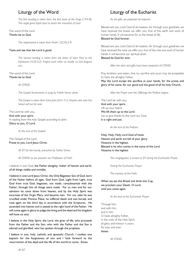## Liturgy of the Word

The first reading is taken from the first book of the Kings (19:4-8): The angel gives Elijah food to reach the mountain of God.

The word of the Lord. Thanks be to God.

The responsorial is taken from Psalm 33(34):2-9:

#### Taste and see that the Lord is good.

The second reading is taken from the letter of Saint Paul to the Ephesians (4:30-5:2): Forgive each other as readily as God forgave vou.

The word of the Lord. Thanks be to God.

All STAND.

The Gospel Acclamation is sung by Father Simon alone.

The Gospel is taken from Saint John (6:41-51): Anyone who eats this bread will live for ever.

The Lord be with you. And with your spirit. A reading from the holy Gospel according to John. Glory to you, O Lord.

At the end of the Gospel:

The Gospel of the Lord. Praise to you, Lord Jesus Christ.

All SIT for the homily, preached by Father Simon.

All STAND as we proclaim our Profession of Faith:

I believe in one God, the Father almighty, maker of heaven and earth, of all things visible and invisible.

I believe in one Lord Jesus Christ, the Only Begotten Son of God, born of the Father before all ages. God from God, Light from Light, true God from true God, begotten, not made, consubstantial with the Father; through him all things were made. For us men and for our salvation he came down from heaven, and by the Holy Spirit was incarnate of the Virgin Mary, and became man. For our sake he was crucified under Pontius Pilate, he suffered death and was buried, and rose again on the third day in accordance with the Scriptures. He ascended into heaven and is seated at the right hand of the Father. He will come again in glory to judge the living and the dead and his kingdom will have no end.

I believe in the Holy Spirit, the Lord, the giver of life, who proceeds from the Father and the Son, who with the Father and the Son is adored and glorified, who has spoken through the prophets.

I believe in one, holy, catholic and apostolic Church. I confess one baptism for the forgiveness of sins and I look forward to the resurrection of the dead and the life of the world to come. Amen.

## Liturgy of the Eucharist

As the gifts are prepared all respond:

Blessed are you. Lord God of all creation, for through your goodness we have received the bread we offer you: fruit of the earth and work of human hands, it will become for us the bread of life. Blessed he God forever

Blessed are you, Lord God of all creation, for through your goodness we have received the wine we offer you: fruit of the vine and work of human hands, it will become our spiritual drink.

#### Blessed be God for ever.

After the altar and gifts have been prepared all STAND:

Pray brothers and sisters, that my sacrifice and yours may be acceptable to God, the almighty Father.

May the Lord accept the sacrifice at your hands, for the praise and glory of his name, for our good and the good of all his holy Church.

After the Prayer over the Offerings the Preface begins:

The Lord be with you. And with your spirit. Lift up your hearts. We lift them up to the Lord. Let us give thanks to the Lord our God. It is right and just.

At the end of the Preface:

Holy, Holy, Holy Lord God of hosts. Heaven and earth are full of your glory. Hosanna in the highest. Blessed is he who comes in the name of the Lord. Hosanna in the highest.

The congregation is invited to SIT during the Eucharistic Prayer.

During the Eucharistic Prayer.

The mystery of the Faith:

When we eat this Bread and drink this Cup. we proclaim your Death, O Lord, until you come again.

At the end of the Eucharistic Prayer:

Through him. and with him. and in him. O God, almighty Father, in the unity of the Holy Spirit, all glory and honour is yours, for ever and ever. Amen

All STAND.